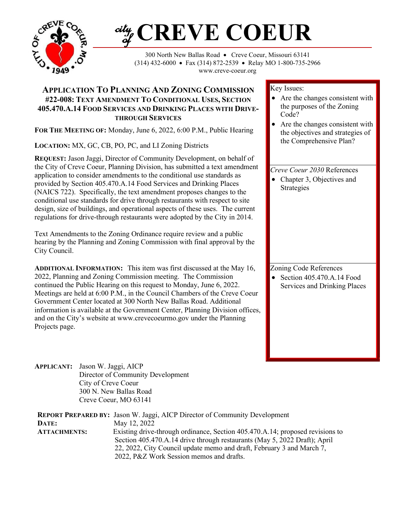

# **CREVE COEUR** ciły<br>of

300 North New Ballas Road • Creve Coeur, Missouri 63141 (314) 432-6000 • Fax (314) 872-2539 • Relay MO 1-800-735-2966 www.creve-coeur.org

## **APPLICATION TO PLANNING AND ZONING COMMISSION #22-008: TEXT AMENDMENT TO CONDITIONAL USES, SECTION 405.470.A.14 FOOD SERVICES AND DRINKING PLACES WITH DRIVE-THROUGH SERVICES**

**FOR THE MEETING OF:** Monday, June 6, 2022, 6:00 P.M., Public Hearing

**LOCATION:** MX, GC, CB, PO, PC, and LI Zoning Districts

**REQUEST:** Jason Jaggi, Director of Community Development, on behalf of the City of Creve Coeur, Planning Division, has submitted a text amendment application to consider amendments to the conditional use standards as provided by Section 405.470.A.14 Food Services and Drinking Places (NAICS 722). Specifically, the text amendment proposes changes to the conditional use standards for drive through restaurants with respect to site design, size of buildings, and operational aspects of these uses. The current regulations for drive-through restaurants were adopted by the City in 2014.

Text Amendments to the Zoning Ordinance require review and a public hearing by the Planning and Zoning Commission with final approval by the City Council.

**ADDITIONAL INFORMATION:** This item was first discussed at the May 16, 2022, Planning and Zoning Commission meeting. The Commission continued the Public Hearing on this request to Monday, June 6, 2022. Meetings are held at 6:00 P.M., in the Council Chambers of the Creve Coeur Government Center located at 300 North New Ballas Road. Additional information is available at the Government Center, Planning Division offices, and on the City's website at www.crevecoeurmo.gov under the Planning Projects page.

Key Issues:

- Are the changes consistent with the purposes of the Zoning Code?
- Are the changes consistent with the objectives and strategies of the Comprehensive Plan?

## *Creve Coeur 2030* References

• Chapter 3, Objectives and Strategies

Zoning Code References

• Section  $405.470.A.14$  Food Services and Drinking Places

**APPLICANT:** Jason W. Jaggi, AICP Director of Community Development City of Creve Coeur 300 N. New Ballas Road Creve Coeur, MO 63141

**REPORT PREPARED BY:** Jason W. Jaggi, AICP Director of Community Development **DATE:** May 12, 2022 **ATTACHMENTS:** Existing drive-through ordinance, Section 405.470.A.14; proposed revisions to Section 405.470.A.14 drive through restaurants (May 5, 2022 Draft); April 22, 2022, City Council update memo and draft, February 3 and March 7, 2022, P&Z Work Session memos and drafts.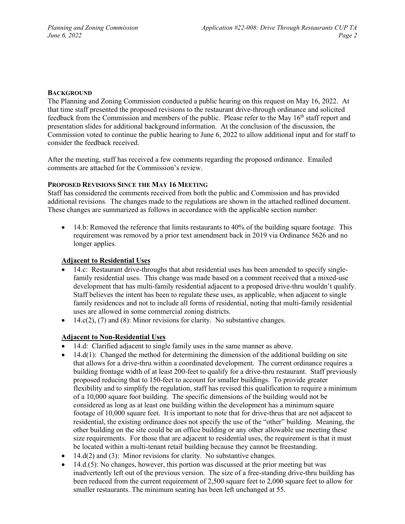#### **BACKGROUND**

The Planning and Zoning Commission conducted a public hearing on this request on May 16, 2022. At that time staff presented the proposed revisions to the restaurant drive-through ordinance and solicited feedback from the Commission and members of the public. Please refer to the May 16<sup>th</sup> staff report and presentation slides for additional background information. At the conclusion of the discussion, the Commission voted to continue the public hearing to June 6, 2022 to allow additional input and for staff to consider the feedback received.

After the meeting, staff has received a few comments regarding the proposed ordinance. Emailed comments are attached for the Commission's review.

#### **PROPOSED REVISIONS SINCE THE MAY 16 MEETING**

Staff has considered the comments received from both the public and Commission and has provided additional revisions. The changes made to the regulations are shown in the attached redlined document. These changes are summarized as follows in accordance with the applicable section number:

• 14.b: Removed the reference that limits restaurants to 40% of the building square footage. This requirement was removed by a prior text amendment back in 2019 via Ordinance 5626 and no longer applies.

### **Adjacent to Residential Uses**

- 14.c: Restaurant drive-throughs that abut residential uses has been amended to specify singlefamily residential uses. This change was made based on a comment received that a mixed-use development that has multi-family residential adjacent to a proposed drive-thru wouldn't qualify. Staff believes the intent has been to regulate these uses, as applicable, when adjacent to single family residences and not to include all forms of residential, noting that multi-family residential uses are allowed in some commercial zoning districts.
- $14.c(2)$ , (7) and (8): Minor revisions for clarity. No substantive changes.

#### **Adjacent to Non-Residential Uses**

- 14.d: Clarified adjacent to single family uses in the same manner as above.
- $\bullet$  14.d(1): Changed the method for determining the dimension of the additional building on site that allows for a drive-thru within a coordinated development. The current ordinance requires a building frontage width of at least 200-feet to qualify for a drive-thru restaurant. Staff previously proposed reducing that to 150-feet to account for smaller buildings. To provide greater flexibility and to simplify the regulation, staff has revised this qualification to require a minimum of a 10,000 square foot building. The specific dimensions of the building would not be considered as long as at least one building within the development has a minimum square footage of 10,000 square feet. It is important to note that for drive-thrus that are not adjacent to residential, the existing ordinance does not specify the use of the "other" building. Meaning, the other building on the site could be an office building or any other allowable use meeting these size requirements. For those that are adjacent to residential uses, the requirement is that it must be located within a multi-tenant retail building because they cannot be freestanding.
- $14.d(2)$  and  $(3)$ : Minor revisions for clarity. No substantive changes.
- $\bullet$  14.d.(5): No changes, however, this portion was discussed at the prior meeting but was inadvertently left out of the previous version. The size of a free-standing drive-thru building has been reduced from the current requirement of 2,500 square feet to 2,000 square feet to allow for smaller restaurants. The minimum seating has been left unchanged at 55.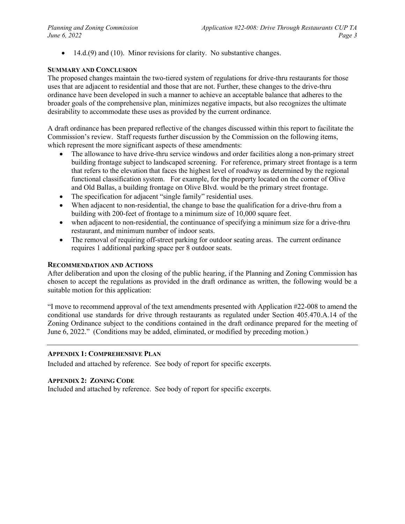• 14.d.(9) and (10). Minor revisions for clarity. No substantive changes.

#### **SUMMARY AND CONCLUSION**

The proposed changes maintain the two-tiered system of regulations for drive-thru restaurants for those uses that are adjacent to residential and those that are not. Further, these changes to the drive-thru ordinance have been developed in such a manner to achieve an acceptable balance that adheres to the broader goals of the comprehensive plan, minimizes negative impacts, but also recognizes the ultimate desirability to accommodate these uses as provided by the current ordinance.

A draft ordinance has been prepared reflective of the changes discussed within this report to facilitate the Commission's review. Staff requests further discussion by the Commission on the following items, which represent the more significant aspects of these amendments:

- The allowance to have drive-thru service windows and order facilities along a non-primary street building frontage subject to landscaped screening. For reference, primary street frontage is a term that refers to the elevation that faces the highest level of roadway as determined by the regional functional classification system. For example, for the property located on the corner of Olive and Old Ballas, a building frontage on Olive Blvd. would be the primary street frontage.
- The specification for adjacent "single family" residential uses.
- When adjacent to non-residential, the change to base the qualification for a drive-thru from a building with 200-feet of frontage to a minimum size of 10,000 square feet.
- when adjacent to non-residential, the continuance of specifying a minimum size for a drive-thru restaurant, and minimum number of indoor seats.
- The removal of requiring off-street parking for outdoor seating areas. The current ordinance requires 1 additional parking space per 8 outdoor seats.

#### **RECOMMENDATION AND ACTIONS**

After deliberation and upon the closing of the public hearing, if the Planning and Zoning Commission has chosen to accept the regulations as provided in the draft ordinance as written, the following would be a suitable motion for this application:

"I move to recommend approval of the text amendments presented with Application #22-008 to amend the conditional use standards for drive through restaurants as regulated under Section 405.470.A.14 of the Zoning Ordinance subject to the conditions contained in the draft ordinance prepared for the meeting of June 6, 2022." (Conditions may be added, eliminated, or modified by preceding motion.)

#### **APPENDIX 1: COMPREHENSIVE PLAN**

Included and attached by reference. See body of report for specific excerpts.

#### **APPENDIX 2: ZONING CODE**

Included and attached by reference. See body of report for specific excerpts.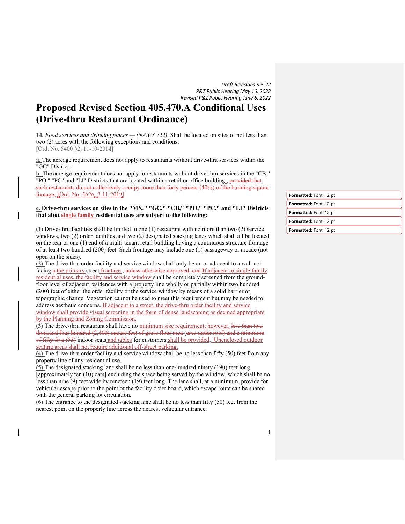*Draft Revisions 5-5-22 P&Z Public Hearing May 16, 2022 Revised P&Z Public Hearing June 6, 2022*

# **Proposed Revised Section 405.470.A Conditional Uses (Drive-thru Restaurant Ordinance)**

**14.** *Food services and drinking places — (NA/CS 722).* Shall be located on sites of not less than two (2) acres with the following exceptions and conditions: [Ord. No. 5400 §2, 11-10-2014]

**a.** The acreage requirement does not apply to restaurants without drive-thru services within the "GC" District;

**b.** The acreage requirement does not apply to restaurants without drive-thru services in the "CB," "PO," "PC" and "LI" Districts that are located within a retail or office building., provided that such restaurants do not collectively occupy more than forty percent (40%) of the building square footage; [Ord. No. 5626, 2-11-2019]

#### **c. Drive-thru services on sites in the "MX," "GC," "CB," "PO," "PC," and "LI" Districts that abut single family residential uses are subject to the following:**

**(1)** Drive-thru facilities shall be limited to one (1) restaurant with no more than two (2) service windows, two (2) order facilities and two (2) designated stacking lanes which shall all be located on the rear or one (1) end of a multi-tenant retail building having a continuous structure frontage of at least two hundred (200) feet. Such frontage may include one (1) passageway or arcade (not open on the sides).

**(2)** The drive-thru order facility and service window shall only be on or adjacent to a wall not facing a the primary street frontage., unless otherwise approved, and If adjacent to single family residential uses, the facility and service window shall be completely screened from the groundfloor level of adjacent residences with a property line wholly or partially within two hundred (200) feet of either the order facility or the service window by means of a solid barrier or topographic change. Vegetation cannot be used to meet this requirement but may be needed to address aesthetic concerns. If adjacent to a street, the drive-thru order facility and service window shall provide visual screening in the form of dense landscaping as deemed appropriate by the Planning and Zoning Commission.

**(3)** The drive-thru restaurant shall have no minimum size requirement; however, less than two thousand four hundred (2,400) square feet of gross floor area (area under roof) and a minimum of fifty-five (55) indoor seats and tables for customers shall be provided. Unenclosed outdoor seating areas shall not require additional off-street parking.

**(4)** The drive-thru order facility and service window shall be no less than fifty (50) feet from any property line of any residential use.

**(5)** The designated stacking lane shall be no less than one-hundred ninety (190) feet long [approximately ten (10) cars] excluding the space being served by the window, which shall be no less than nine (9) feet wide by nineteen (19) feet long. The lane shall, at a minimum, provide for vehicular escape prior to the point of the facility order board, which escape route can be shared with the general parking lot circulation.

**(6)** The entrance to the designated stacking lane shall be no less than fifty (50) feet from the nearest point on the property line across the nearest vehicular entrance.

| Formatted: Font: 12 pt        |
|-------------------------------|
| Formatted: Font: 12 pt        |
| Formatted: Font: 12 pt        |
| Formatted: Font: 12 pt        |
| <b>Formatted:</b> Font: 12 pt |
|                               |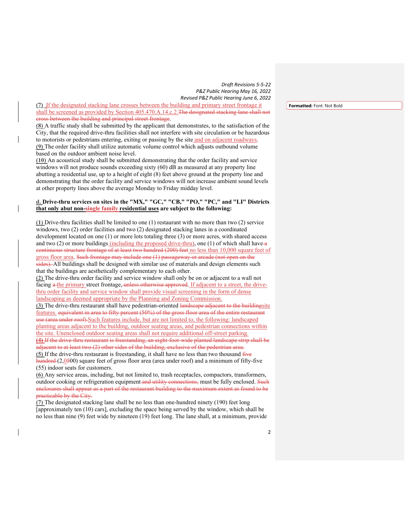*Draft Revisions 5-5-22 P&Z Public Hearing May 16, 2022 Revised P&Z Public Hearing June 6, 2022*

**(7)** If the designated stacking lane crosses between the building and primary street frontage it shall be screened as provided by Section 405.470.A.14.c.2. The designated stacking lane shall not cross between the building and principal street frontage.

**(8)** A traffic study shall be submitted by the applicant that demonstrates, to the satisfaction of the City, that the required drive-thru facilities shall not interfere with site circulation or be hazardous to motorists or pedestrians entering, exiting or passing by the site and on adjacent roadways. **(9)** The order facility shall utilize automatic volume control which adjusts outbound volume based on the outdoor ambient noise level.

**(10)** An acoustical study shall be submitted demonstrating that the order facility and service windows will not produce sounds exceeding sixty (60) dB as measured at any property line abutting a residential use, up to a height of eight (8) feet above ground at the property line and demonstrating that the order facility and service windows will not increase ambient sound levels at other property lines above the average Monday to Friday midday level.

#### **d. Drive-thru services on sites in the "MX," "GC," "CB," "PO," "PC," and "LI" Districts that only abut non-single family residential uses are subject to the following:**

**(1)** Drive-thru facilities shall be limited to one (1) restaurant with no more than two (2) service windows, two (2) order facilities and two (2) designated stacking lanes in a coordinated development located on one (1) or more lots totaling three (3) or more acres, with shared access and two  $(2)$  or more buildings *(including the proposed drive-thru)*, one  $(1)$  of which shall have-a continuous structure frontage of at least two hundred (200) feet no less than 10,000 square feet of gross floor area. Such frontage may include one (1) passageway or arcade (not open on the sides). All buildings shall be designed with similar use of materials and design elements such that the buildings are aesthetically complementary to each other.

**(2)** The drive-thru order facility and service window shall only be on or adjacent to a wall not facing a the primary street frontage, unless otherwise approved. If adjacent to a street, the drivethru order facility and service window shall provide visual screening in the form of dense landscaping as deemed appropriate by the Planning and Zoning Commission.

**(3)** The drive-thru restaurant shall have pedestrian-oriented landscape adjacent to the buildingsite features. equivalent in area to fifty percent (50%) of the gross floor area of the entire restaurant use (area under roof).Such features include, but are not limited to, the following: landscaped planting areas adjacent to the building, outdoor seating areas, and pedestrian connections within the site. Unenclosed outdoor seating areas shall not require additional off-street parking. **(4)** If the drive-thru restaurant is freestanding, an eight-foot-wide planted landscape strip shall be adjacent to at least two (2) other sides of the building, exclusive of the pedestrian area. **(5)** If the drive-thru restaurant is freestanding, it shall have no less than two thousand five

hundred (2,0500) square feet of gross floor area (area under roof) and a minimum of fifty-five (55) indoor seats for customers.

**(6)** Any service areas, including, but not limited to, trash receptacles, compactors, transformers, outdoor cooking or refrigeration equipment and utility connections, must be fully enclosed. Such enclosures shall appear as a part of the restaurant building to the maximum extent as found to be practicable by the City.

**(7)** The designated stacking lane shall be no less than one-hundred ninety (190) feet long [approximately ten (10) cars], excluding the space being served by the window, which shall be no less than nine (9) feet wide by nineteen (19) feet long. The lane shall, at a minimum, provide **Formatted:** Font: Not Bold